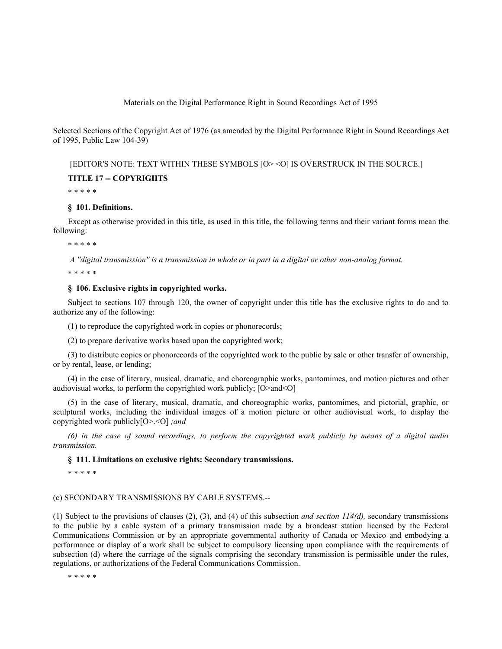Materials on the Digital Performance Right in Sound Recordings Act of 1995

Selected Sections of the Copyright Act of 1976 (as amended by the Digital Performance Right in Sound Recordings Act of 1995, Public Law 104-39)

[EDITOR'S NOTE: TEXT WITHIN THESE SYMBOLS [O> <O] IS OVERSTRUCK IN THE SOURCE.]

### **TITLE 17 -- COPYRIGHTS**

\* \* \* \* \*

### **§ 101. Definitions.**

Except as otherwise provided in this title, as used in this title, the following terms and their variant forms mean the following:

\* \* \* \* \*

 *A ''digital transmission'' is a transmission in whole or in part in a digital or other non-analog format.*

\* \* \* \* \*

# **§ 106. Exclusive rights in copyrighted works.**

Subject to sections 107 through 120, the owner of copyright under this title has the exclusive rights to do and to authorize any of the following:

(1) to reproduce the copyrighted work in copies or phonorecords;

(2) to prepare derivative works based upon the copyrighted work;

(3) to distribute copies or phonorecords of the copyrighted work to the public by sale or other transfer of ownership, or by rental, lease, or lending;

(4) in the case of literary, musical, dramatic, and choreographic works, pantomimes, and motion pictures and other audiovisual works, to perform the copyrighted work publicly; [O>and<O]

(5) in the case of literary, musical, dramatic, and choreographic works, pantomimes, and pictorial, graphic, or sculptural works, including the individual images of a motion picture or other audiovisual work, to display the copyrighted work publicly[O>.<O] *;and*

*(6) in the case of sound recordings, to perform the copyrighted work publicly by means of a digital audio transmission.*

# **§ 111. Limitations on exclusive rights: Secondary transmissions.**

\* \* \* \* \*

### (c) SECONDARY TRANSMISSIONS BY CABLE SYSTEMS.--

(1) Subject to the provisions of clauses (2), (3), and (4) of this subsection *and section 114(d),* secondary transmissions to the public by a cable system of a primary transmission made by a broadcast station licensed by the Federal Communications Commission or by an appropriate governmental authority of Canada or Mexico and embodying a performance or display of a work shall be subject to compulsory licensing upon compliance with the requirements of subsection (d) where the carriage of the signals comprising the secondary transmission is permissible under the rules, regulations, or authorizations of the Federal Communications Commission.

\* \* \* \* \*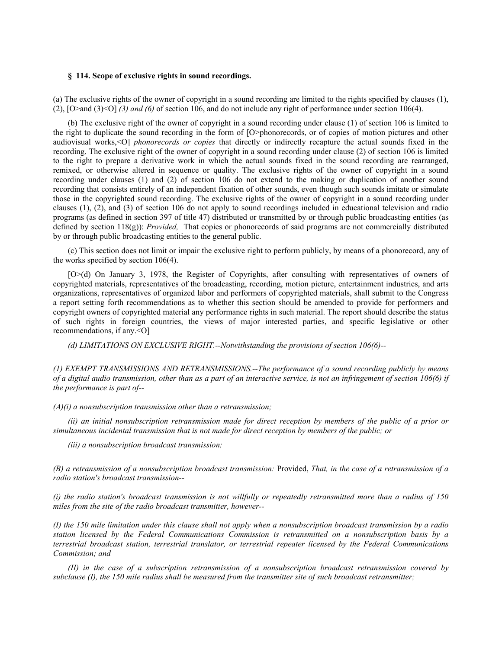#### **§ 114. Scope of exclusive rights in sound recordings.**

(a) The exclusive rights of the owner of copyright in a sound recording are limited to the rights specified by clauses (1), (2), [O>and (3)<O] *(3) and (6)* of section 106, and do not include any right of performance under section 106(4).

(b) The exclusive right of the owner of copyright in a sound recording under clause (1) of section 106 is limited to the right to duplicate the sound recording in the form of [O>phonorecords, or of copies of motion pictures and other audiovisual works,<O] *phonorecords or copies* that directly or indirectly recapture the actual sounds fixed in the recording. The exclusive right of the owner of copyright in a sound recording under clause (2) of section 106 is limited to the right to prepare a derivative work in which the actual sounds fixed in the sound recording are rearranged, remixed, or otherwise altered in sequence or quality. The exclusive rights of the owner of copyright in a sound recording under clauses (1) and (2) of section 106 do not extend to the making or duplication of another sound recording that consists entirely of an independent fixation of other sounds, even though such sounds imitate or simulate those in the copyrighted sound recording. The exclusive rights of the owner of copyright in a sound recording under clauses (1), (2), and (3) of section 106 do not apply to sound recordings included in educational television and radio programs (as defined in section 397 of title 47) distributed or transmitted by or through public broadcasting entities (as defined by section 118(g)): *Provided,* That copies or phonorecords of said programs are not commercially distributed by or through public broadcasting entities to the general public.

(c) This section does not limit or impair the exclusive right to perform publicly, by means of a phonorecord, any of the works specified by section 106(4).

[O>(d) On January 3, 1978, the Register of Copyrights, after consulting with representatives of owners of copyrighted materials, representatives of the broadcasting, recording, motion picture, entertainment industries, and arts organizations, representatives of organized labor and performers of copyrighted materials, shall submit to the Congress a report setting forth recommendations as to whether this section should be amended to provide for performers and copyright owners of copyrighted material any performance rights in such material. The report should describe the status of such rights in foreign countries, the views of major interested parties, and specific legislative or other recommendations, if any.<O]

*(d) LIMITATIONS ON EXCLUSIVE RIGHT.--Notwithstanding the provisions of section 106(6)--*

*(1) EXEMPT TRANSMISSIONS AND RETRANSMISSIONS.--The performance of a sound recording publicly by means of a digital audio transmission, other than as a part of an interactive service, is not an infringement of section 106(6) if the performance is part of--*

*(A)(i) a nonsubscription transmission other than a retransmission;*

*(ii) an initial nonsubscription retransmission made for direct reception by members of the public of a prior or simultaneous incidental transmission that is not made for direct reception by members of the public; or*

*(iii) a nonsubscription broadcast transmission;*

*(B) a retransmission of a nonsubscription broadcast transmission:* Provided, *That, in the case of a retransmission of a radio station's broadcast transmission--*

*(i) the radio station's broadcast transmission is not willfully or repeatedly retransmitted more than a radius of 150 miles from the site of the radio broadcast transmitter, however--*

*(I) the 150 mile limitation under this clause shall not apply when a nonsubscription broadcast transmission by a radio station licensed by the Federal Communications Commission is retransmitted on a nonsubscription basis by a terrestrial broadcast station, terrestrial translator, or terrestrial repeater licensed by the Federal Communications Commission; and*

*(II) in the case of a subscription retransmission of a nonsubscription broadcast retransmission covered by subclause (I), the 150 mile radius shall be measured from the transmitter site of such broadcast retransmitter;*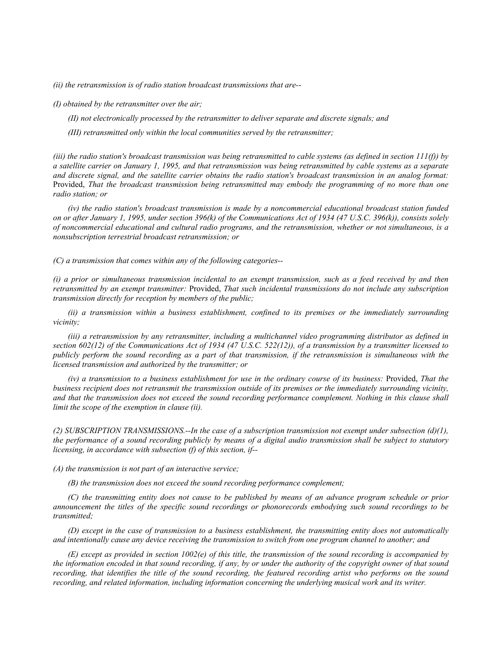*(ii) the retransmission is of radio station broadcast transmissions that are--*

*(I) obtained by the retransmitter over the air;*

*(II) not electronically processed by the retransmitter to deliver separate and discrete signals; and*

*(III) retransmitted only within the local communities served by the retransmitter;*

*(iii) the radio station's broadcast transmission was being retransmitted to cable systems (as defined in section 111(f)) by a satellite carrier on January 1, 1995, and that retransmission was being retransmitted by cable systems as a separate and discrete signal, and the satellite carrier obtains the radio station's broadcast transmission in an analog format:*  Provided, *That the broadcast transmission being retransmitted may embody the programming of no more than one radio station; or*

*(iv) the radio station's broadcast transmission is made by a noncommercial educational broadcast station funded on or after January 1, 1995, under section 396(k) of the Communications Act of 1934 (47 U.S.C. 396(k)), consists solely of noncommercial educational and cultural radio programs, and the retransmission, whether or not simultaneous, is a nonsubscription terrestrial broadcast retransmission; or*

*(C) a transmission that comes within any of the following categories--*

*(i) a prior or simultaneous transmission incidental to an exempt transmission, such as a feed received by and then retransmitted by an exempt transmitter:* Provided, *That such incidental transmissions do not include any subscription transmission directly for reception by members of the public;*

*(ii) a transmission within a business establishment, confined to its premises or the immediately surrounding vicinity;*

*(iii) a retransmission by any retransmitter, including a multichannel video programming distributor as defined in section 602(12) of the Communications Act of 1934 (47 U.S.C. 522(12)), of a transmission by a transmitter licensed to publicly perform the sound recording as a part of that transmission, if the retransmission is simultaneous with the licensed transmission and authorized by the transmitter; or*

*(iv) a transmission to a business establishment for use in the ordinary course of its business:* Provided, *That the business recipient does not retransmit the transmission outside of its premises or the immediately surrounding vicinity, and that the transmission does not exceed the sound recording performance complement. Nothing in this clause shall limit the scope of the exemption in clause (ii).*

*(2) SUBSCRIPTION TRANSMISSIONS.--In the case of a subscription transmission not exempt under subsection (d)(1), the performance of a sound recording publicly by means of a digital audio transmission shall be subject to statutory licensing, in accordance with subsection (f) of this section, if--*

*(A) the transmission is not part of an interactive service;*

*(B) the transmission does not exceed the sound recording performance complement;*

*(C) the transmitting entity does not cause to be published by means of an advance program schedule or prior announcement the titles of the specific sound recordings or phonorecords embodying such sound recordings to be transmitted;*

*(D) except in the case of transmission to a business establishment, the transmitting entity does not automatically and intentionally cause any device receiving the transmission to switch from one program channel to another; and*

*(E) except as provided in section 1002(e) of this title, the transmission of the sound recording is accompanied by the information encoded in that sound recording, if any, by or under the authority of the copyright owner of that sound*  recording, that identifies the title of the sound recording, the featured recording artist who performs on the sound *recording, and related information, including information concerning the underlying musical work and its writer.*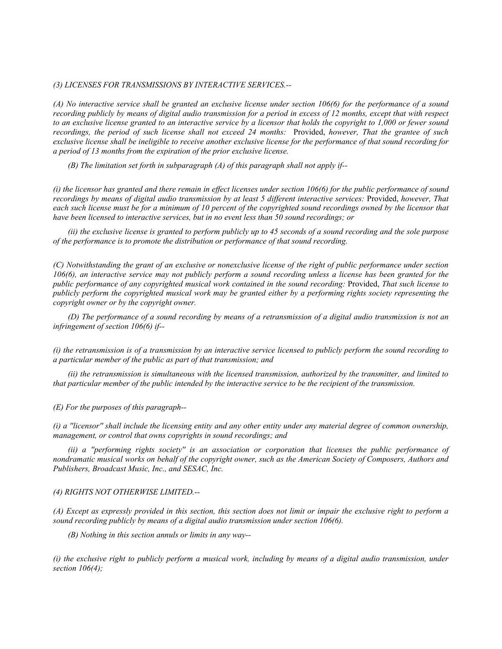# *(3) LICENSES FOR TRANSMISSIONS BY INTERACTIVE SERVICES.--*

*(A) No interactive service shall be granted an exclusive license under section 106(6) for the performance of a sound recording publicly by means of digital audio transmission for a period in excess of 12 months, except that with respect to an exclusive license granted to an interactive service by a licensor that holds the copyright to 1,000 or fewer sound recordings, the period of such license shall not exceed 24 months:* Provided, *however, That the grantee of such exclusive license shall be ineligible to receive another exclusive license for the performance of that sound recording for a period of 13 months from the expiration of the prior exclusive license.*

*(B) The limitation set forth in subparagraph (A) of this paragraph shall not apply if--*

*(i) the licensor has granted and there remain in effect licenses under section 106(6) for the public performance of sound recordings by means of digital audio transmission by at least 5 different interactive services:* Provided, *however, That*  each such license must be for a minimum of 10 percent of the copyrighted sound recordings owned by the licensor that *have been licensed to interactive services, but in no event less than 50 sound recordings; or*

*(ii) the exclusive license is granted to perform publicly up to 45 seconds of a sound recording and the sole purpose of the performance is to promote the distribution or performance of that sound recording.*

*(C) Notwithstanding the grant of an exclusive or nonexclusive license of the right of public performance under section 106(6), an interactive service may not publicly perform a sound recording unless a license has been granted for the public performance of any copyrighted musical work contained in the sound recording:* Provided, *That such license to publicly perform the copyrighted musical work may be granted either by a performing rights society representing the copyright owner or by the copyright owner.*

*(D) The performance of a sound recording by means of a retransmission of a digital audio transmission is not an infringement of section 106(6) if--*

*(i) the retransmission is of a transmission by an interactive service licensed to publicly perform the sound recording to a particular member of the public as part of that transmission; and*

*(ii) the retransmission is simultaneous with the licensed transmission, authorized by the transmitter, and limited to that particular member of the public intended by the interactive service to be the recipient of the transmission.*

*(E) For the purposes of this paragraph--*

*(i) a ''licensor'' shall include the licensing entity and any other entity under any material degree of common ownership, management, or control that owns copyrights in sound recordings; and*

*(ii) a ''performing rights society'' is an association or corporation that licenses the public performance of nondramatic musical works on behalf of the copyright owner, such as the American Society of Composers, Authors and Publishers, Broadcast Music, Inc., and SESAC, Inc.*

#### *(4) RIGHTS NOT OTHERWISE LIMITED.--*

*(A) Except as expressly provided in this section, this section does not limit or impair the exclusive right to perform a sound recording publicly by means of a digital audio transmission under section 106(6).*

*(B) Nothing in this section annuls or limits in any way--*

*(i) the exclusive right to publicly perform a musical work, including by means of a digital audio transmission, under section 106(4);*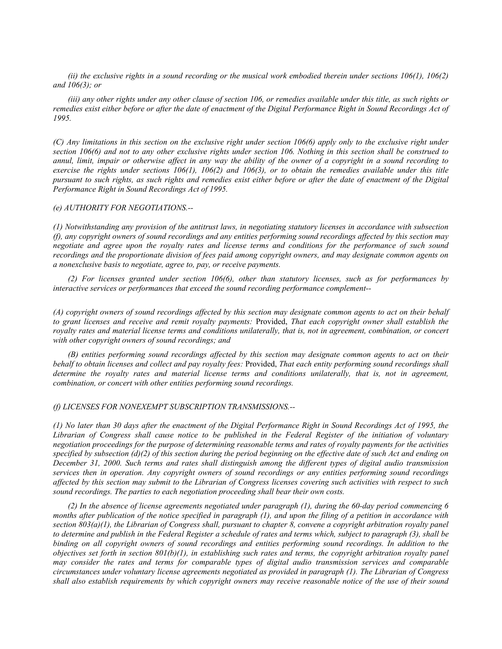*(ii) the exclusive rights in a sound recording or the musical work embodied therein under sections 106(1), 106(2) and 106(3); or*

*(iii) any other rights under any other clause of section 106, or remedies available under this title, as such rights or remedies exist either before or after the date of enactment of the Digital Performance Right in Sound Recordings Act of 1995.*

*(C) Any limitations in this section on the exclusive right under section 106(6) apply only to the exclusive right under section 106(6) and not to any other exclusive rights under section 106. Nothing in this section shall be construed to annul, limit, impair or otherwise affect in any way the ability of the owner of a copyright in a sound recording to exercise the rights under sections 106(1), 106(2) and 106(3), or to obtain the remedies available under this title pursuant to such rights, as such rights and remedies exist either before or after the date of enactment of the Digital Performance Right in Sound Recordings Act of 1995.*

# *(e) AUTHORITY FOR NEGOTIATIONS.--*

*(1) Notwithstanding any provision of the antitrust laws, in negotiating statutory licenses in accordance with subsection (f), any copyright owners of sound recordings and any entities performing sound recordings affected by this section may negotiate and agree upon the royalty rates and license terms and conditions for the performance of such sound recordings and the proportionate division of fees paid among copyright owners, and may designate common agents on a nonexclusive basis to negotiate, agree to, pay, or receive payments.*

*(2) For licenses granted under section 106(6), other than statutory licenses, such as for performances by interactive services or performances that exceed the sound recording performance complement--*

*(A) copyright owners of sound recordings affected by this section may designate common agents to act on their behalf to grant licenses and receive and remit royalty payments:* Provided, *That each copyright owner shall establish the royalty rates and material license terms and conditions unilaterally, that is, not in agreement, combination, or concert with other copyright owners of sound recordings; and*

*(B) entities performing sound recordings affected by this section may designate common agents to act on their behalf to obtain licenses and collect and pay royalty fees:* Provided, *That each entity performing sound recordings shall determine the royalty rates and material license terms and conditions unilaterally, that is, not in agreement, combination, or concert with other entities performing sound recordings.*

#### *(f) LICENSES FOR NONEXEMPT SUBSCRIPTION TRANSMISSIONS.--*

*(1) No later than 30 days after the enactment of the Digital Performance Right in Sound Recordings Act of 1995, the Librarian of Congress shall cause notice to be published in the Federal Register of the initiation of voluntary negotiation proceedings for the purpose of determining reasonable terms and rates of royalty payments for the activities specified by subsection (d)(2) of this section during the period beginning on the effective date of such Act and ending on December 31, 2000. Such terms and rates shall distinguish among the different types of digital audio transmission services then in operation. Any copyright owners of sound recordings or any entities performing sound recordings affected by this section may submit to the Librarian of Congress licenses covering such activities with respect to such sound recordings. The parties to each negotiation proceeding shall bear their own costs.*

*(2) In the absence of license agreements negotiated under paragraph (1), during the 60-day period commencing 6 months after publication of the notice specified in paragraph (1), and upon the filing of a petition in accordance with section 803(a)(1), the Librarian of Congress shall, pursuant to chapter 8, convene a copyright arbitration royalty panel to determine and publish in the Federal Register a schedule of rates and terms which, subject to paragraph (3), shall be binding on all copyright owners of sound recordings and entities performing sound recordings. In addition to the objectives set forth in section 801(b)(1), in establishing such rates and terms, the copyright arbitration royalty panel may consider the rates and terms for comparable types of digital audio transmission services and comparable circumstances under voluntary license agreements negotiated as provided in paragraph (1). The Librarian of Congress shall also establish requirements by which copyright owners may receive reasonable notice of the use of their sound*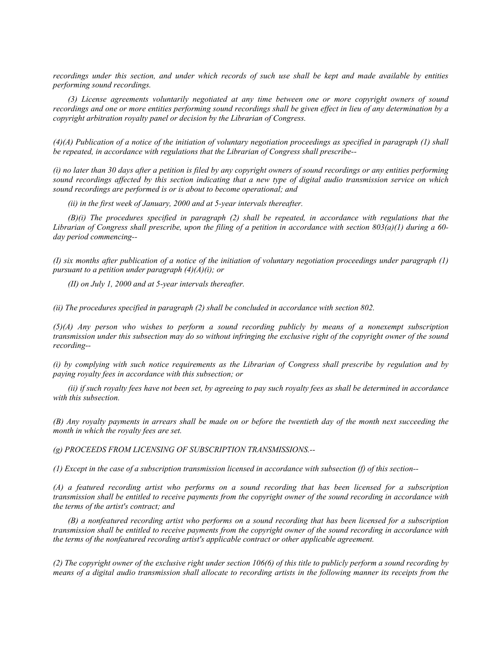*recordings under this section, and under which records of such use shall be kept and made available by entities performing sound recordings.*

*(3) License agreements voluntarily negotiated at any time between one or more copyright owners of sound recordings and one or more entities performing sound recordings shall be given effect in lieu of any determination by a copyright arbitration royalty panel or decision by the Librarian of Congress.*

*(4)(A) Publication of a notice of the initiation of voluntary negotiation proceedings as specified in paragraph (1) shall be repeated, in accordance with regulations that the Librarian of Congress shall prescribe--*

*(i) no later than 30 days after a petition is filed by any copyright owners of sound recordings or any entities performing sound recordings affected by this section indicating that a new type of digital audio transmission service on which sound recordings are performed is or is about to become operational; and*

*(ii) in the first week of January, 2000 and at 5-year intervals thereafter.*

*(B)(i) The procedures specified in paragraph (2) shall be repeated, in accordance with regulations that the Librarian of Congress shall prescribe, upon the filing of a petition in accordance with section 803(a)(1) during a 60 day period commencing--*

*(I) six months after publication of a notice of the initiation of voluntary negotiation proceedings under paragraph (1) pursuant to a petition under paragraph (4)(A)(i); or*

*(II) on July 1, 2000 and at 5-year intervals thereafter.*

*(ii) The procedures specified in paragraph (2) shall be concluded in accordance with section 802.*

*(5)(A) Any person who wishes to perform a sound recording publicly by means of a nonexempt subscription transmission under this subsection may do so without infringing the exclusive right of the copyright owner of the sound recording--*

*(i) by complying with such notice requirements as the Librarian of Congress shall prescribe by regulation and by paying royalty fees in accordance with this subsection; or*

*(ii) if such royalty fees have not been set, by agreeing to pay such royalty fees as shall be determined in accordance with this subsection.*

*(B) Any royalty payments in arrears shall be made on or before the twentieth day of the month next succeeding the month in which the royalty fees are set.*

*(g) PROCEEDS FROM LICENSING OF SUBSCRIPTION TRANSMISSIONS.--*

*(1) Except in the case of a subscription transmission licensed in accordance with subsection (f) of this section--*

*(A) a featured recording artist who performs on a sound recording that has been licensed for a subscription transmission shall be entitled to receive payments from the copyright owner of the sound recording in accordance with the terms of the artist's contract; and*

*(B) a nonfeatured recording artist who performs on a sound recording that has been licensed for a subscription transmission shall be entitled to receive payments from the copyright owner of the sound recording in accordance with the terms of the nonfeatured recording artist's applicable contract or other applicable agreement.*

*(2) The copyright owner of the exclusive right under section 106(6) of this title to publicly perform a sound recording by means of a digital audio transmission shall allocate to recording artists in the following manner its receipts from the*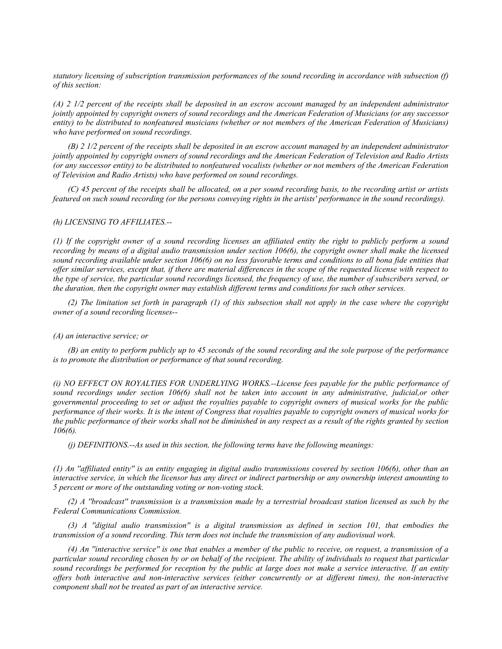*statutory licensing of subscription transmission performances of the sound recording in accordance with subsection (f) of this section:*

*(A) 2 1/2 percent of the receipts shall be deposited in an escrow account managed by an independent administrator jointly appointed by copyright owners of sound recordings and the American Federation of Musicians (or any successor entity) to be distributed to nonfeatured musicians (whether or not members of the American Federation of Musicians) who have performed on sound recordings.*

*(B) 2 1/2 percent of the receipts shall be deposited in an escrow account managed by an independent administrator jointly appointed by copyright owners of sound recordings and the American Federation of Television and Radio Artists (or any successor entity) to be distributed to nonfeatured vocalists (whether or not members of the American Federation of Television and Radio Artists) who have performed on sound recordings.*

*(C) 45 percent of the receipts shall be allocated, on a per sound recording basis, to the recording artist or artists featured on such sound recording (or the persons conveying rights in the artists' performance in the sound recordings).*

#### *(h) LICENSING TO AFFILIATES.--*

*(1) If the copyright owner of a sound recording licenses an affiliated entity the right to publicly perform a sound recording by means of a digital audio transmission under section 106(6), the copyright owner shall make the licensed sound recording available under section 106(6) on no less favorable terms and conditions to all bona fide entities that offer similar services, except that, if there are material differences in the scope of the requested license with respect to the type of service, the particular sound recordings licensed, the frequency of use, the number of subscribers served, or the duration, then the copyright owner may establish different terms and conditions for such other services.*

*(2) The limitation set forth in paragraph (1) of this subsection shall not apply in the case where the copyright owner of a sound recording licenses--*

#### *(A) an interactive service; or*

*(B) an entity to perform publicly up to 45 seconds of the sound recording and the sole purpose of the performance is to promote the distribution or performance of that sound recording.*

*(i) NO EFFECT ON ROYALTIES FOR UNDERLYING WORKS.--License fees payable for the public performance of sound recordings under section 106(6) shall not be taken into account in any administrative, judicial,or other governmental proceeding to set or adjust the royalties payable to copyright owners of musical works for the public performance of their works. It is the intent of Congress that royalties payable to copyright owners of musical works for the public performance of their works shall not be diminished in any respect as a result of the rights granted by section 106(6).*

*(j) DEFINITIONS.--As used in this section, the following terms have the following meanings:*

*(1) An ''affiliated entity'' is an entity engaging in digital audio transmissions covered by section 106(6), other than an interactive service, in which the licensor has any direct or indirect partnership or any ownership interest amounting to 5 percent or more of the outstanding voting or non-voting stock.*

*(2) A ''broadcast'' transmission is a transmission made by a terrestrial broadcast station licensed as such by the Federal Communications Commission.*

*(3) A ''digital audio transmission'' is a digital transmission as defined in section 101, that embodies the transmission of a sound recording. This term does not include the transmission of any audiovisual work.*

*(4) An ''interactive service'' is one that enables a member of the public to receive, on request, a transmission of a particular sound recording chosen by or on behalf of the recipient. The ability of individuals to request that particular sound recordings be performed for reception by the public at large does not make a service interactive. If an entity offers both interactive and non-interactive services (either concurrently or at different times), the non-interactive component shall not be treated as part of an interactive service.*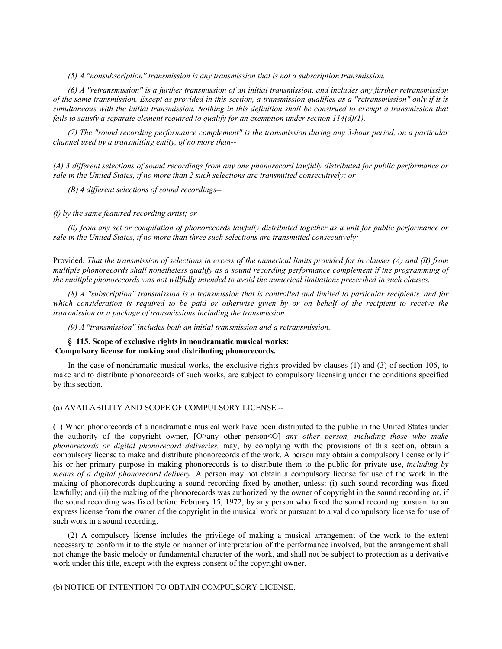*(5) A ''nonsubscription'' transmission is any transmission that is not a subscription transmission.*

*(6) A ''retransmission'' is a further transmission of an initial transmission, and includes any further retransmission of the same transmission. Except as provided in this section, a transmission qualifies as a ''retransmission'' only if it is simultaneous with the initial transmission. Nothing in this definition shall be construed to exempt a transmission that fails to satisfy a separate element required to qualify for an exemption under section 114(d)(1).*

*(7) The ''sound recording performance complement'' is the transmission during any 3-hour period, on a particular channel used by a transmitting entity, of no more than--*

*(A) 3 different selections of sound recordings from any one phonorecord lawfully distributed for public performance or sale in the United States, if no more than 2 such selections are transmitted consecutively; or*

*(B) 4 different selections of sound recordings--*

#### *(i) by the same featured recording artist; or*

*(ii) from any set or compilation of phonorecords lawfully distributed together as a unit for public performance or sale in the United States, if no more than three such selections are transmitted consecutively:*

Provided, *That the transmission of selections in excess of the numerical limits provided for in clauses (A) and (B) from multiple phonorecords shall nonetheless qualify as a sound recording performance complement if the programming of the multiple phonorecords was not willfully intended to avoid the numerical limitations prescribed in such clauses.*

*(8) A ''subscription'' transmission is a transmission that is controlled and limited to particular recipients, and for which consideration is required to be paid or otherwise given by or on behalf of the recipient to receive the transmission or a package of transmissions including the transmission.*

*(9) A ''transmission'' includes both an initial transmission and a retransmission.*

# **§ 115. Scope of exclusive rights in nondramatic musical works: Compulsory license for making and distributing phonorecords.**

In the case of nondramatic musical works, the exclusive rights provided by clauses (1) and (3) of section 106, to make and to distribute phonorecords of such works, are subject to compulsory licensing under the conditions specified by this section.

(a) AVAILABILITY AND SCOPE OF COMPULSORY LICENSE.--

(1) When phonorecords of a nondramatic musical work have been distributed to the public in the United States under the authority of the copyright owner,  $[O>$ any other person<orporal *any other person, including those who make phonorecords or digital phonorecord deliveries,* may, by complying with the provisions of this section, obtain a compulsory license to make and distribute phonorecords of the work. A person may obtain a compulsory license only if his or her primary purpose in making phonorecords is to distribute them to the public for private use, *including by means of a digital phonorecord delivery.* A person may not obtain a compulsory license for use of the work in the making of phonorecords duplicating a sound recording fixed by another, unless: (i) such sound recording was fixed lawfully; and (ii) the making of the phonorecords was authorized by the owner of copyright in the sound recording or, if the sound recording was fixed before February 15, 1972, by any person who fixed the sound recording pursuant to an express license from the owner of the copyright in the musical work or pursuant to a valid compulsory license for use of such work in a sound recording.

(2) A compulsory license includes the privilege of making a musical arrangement of the work to the extent necessary to conform it to the style or manner of interpretation of the performance involved, but the arrangement shall not change the basic melody or fundamental character of the work, and shall not be subject to protection as a derivative work under this title, except with the express consent of the copyright owner.

(b) NOTICE OF INTENTION TO OBTAIN COMPULSORY LICENSE.--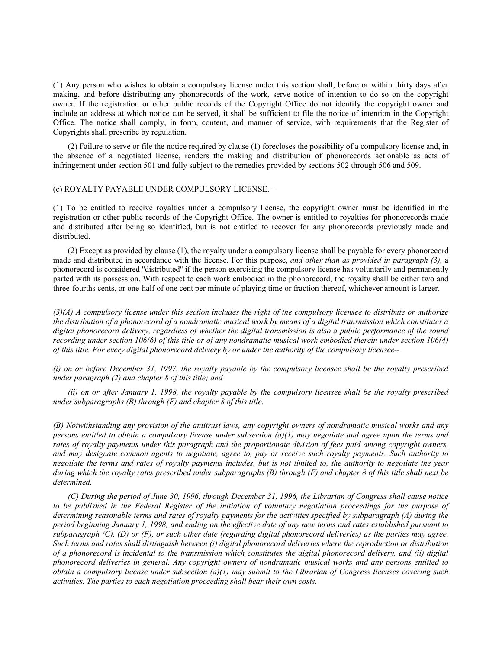(1) Any person who wishes to obtain a compulsory license under this section shall, before or within thirty days after making, and before distributing any phonorecords of the work, serve notice of intention to do so on the copyright owner. If the registration or other public records of the Copyright Office do not identify the copyright owner and include an address at which notice can be served, it shall be sufficient to file the notice of intention in the Copyright Office. The notice shall comply, in form, content, and manner of service, with requirements that the Register of Copyrights shall prescribe by regulation.

(2) Failure to serve or file the notice required by clause (1) forecloses the possibility of a compulsory license and, in the absence of a negotiated license, renders the making and distribution of phonorecords actionable as acts of infringement under section 501 and fully subject to the remedies provided by sections 502 through 506 and 509.

# (c) ROYALTY PAYABLE UNDER COMPULSORY LICENSE.--

(1) To be entitled to receive royalties under a compulsory license, the copyright owner must be identified in the registration or other public records of the Copyright Office. The owner is entitled to royalties for phonorecords made and distributed after being so identified, but is not entitled to recover for any phonorecords previously made and distributed.

(2) Except as provided by clause (1), the royalty under a compulsory license shall be payable for every phonorecord made and distributed in accordance with the license. For this purpose, *and other than as provided in paragraph (3),* a phonorecord is considered ''distributed'' if the person exercising the compulsory license has voluntarily and permanently parted with its possession. With respect to each work embodied in the phonorecord, the royalty shall be either two and three-fourths cents, or one-half of one cent per minute of playing time or fraction thereof, whichever amount is larger.

*(3)(A) A compulsory license under this section includes the right of the compulsory licensee to distribute or authorize the distribution of a phonorecord of a nondramatic musical work by means of a digital transmission which constitutes a digital phonorecord delivery, regardless of whether the digital transmission is also a public performance of the sound recording under section 106(6) of this title or of any nondramatic musical work embodied therein under section 106(4) of this title. For every digital phonorecord delivery by or under the authority of the compulsory licensee--*

*(i) on or before December 31, 1997, the royalty payable by the compulsory licensee shall be the royalty prescribed under paragraph (2) and chapter 8 of this title; and*

*(ii) on or after January 1, 1998, the royalty payable by the compulsory licensee shall be the royalty prescribed under subparagraphs (B) through (F) and chapter 8 of this title.*

*(B) Notwithstanding any provision of the antitrust laws, any copyright owners of nondramatic musical works and any persons entitled to obtain a compulsory license under subsection (a)(1) may negotiate and agree upon the terms and rates of royalty payments under this paragraph and the proportionate division of fees paid among copyright owners, and may designate common agents to negotiate, agree to, pay or receive such royalty payments. Such authority to negotiate the terms and rates of royalty payments includes, but is not limited to, the authority to negotiate the year during which the royalty rates prescribed under subparagraphs (B) through (F) and chapter 8 of this title shall next be determined.*

*(C) During the period of June 30, 1996, through December 31, 1996, the Librarian of Congress shall cause notice*  to be published in the Federal Register of the initiation of voluntary negotiation proceedings for the purpose of *determining reasonable terms and rates of royalty payments for the activities specified by subparagraph (A) during the period beginning January 1, 1998, and ending on the effective date of any new terms and rates established pursuant to subparagraph (C), (D) or (F), or such other date (regarding digital phonorecord deliveries) as the parties may agree. Such terms and rates shall distinguish between (i) digital phonorecord deliveries where the reproduction or distribution of a phonorecord is incidental to the transmission which constitutes the digital phonorecord delivery, and (ii) digital phonorecord deliveries in general. Any copyright owners of nondramatic musical works and any persons entitled to obtain a compulsory license under subsection (a)(1) may submit to the Librarian of Congress licenses covering such activities. The parties to each negotiation proceeding shall bear their own costs.*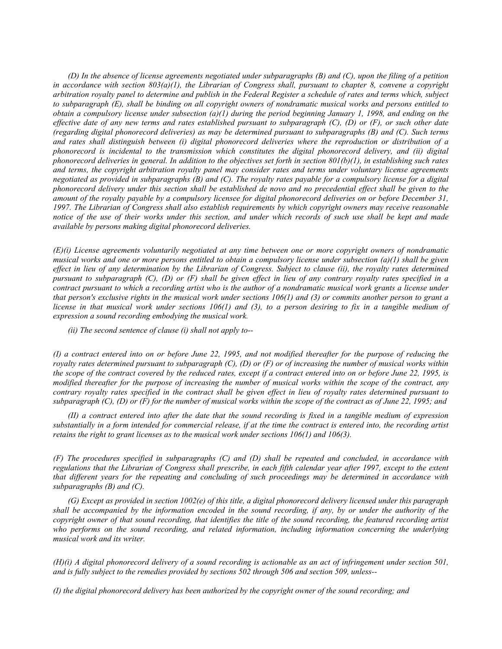*(D) In the absence of license agreements negotiated under subparagraphs (B) and (C), upon the filing of a petition*  in accordance with section  $803(a)(1)$ , the Librarian of Congress shall, pursuant to chapter 8, convene a copyright *arbitration royalty panel to determine and publish in the Federal Register a schedule of rates and terms which, subject to subparagraph (E), shall be binding on all copyright owners of nondramatic musical works and persons entitled to obtain a compulsory license under subsection (a)(1) during the period beginning January 1, 1998, and ending on the effective date of any new terms and rates established pursuant to subparagraph (C), (D) or (F), or such other date (regarding digital phonorecord deliveries) as may be determined pursuant to subparagraphs (B) and (C). Such terms and rates shall distinguish between (i) digital phonorecord deliveries where the reproduction or distribution of a phonorecord is incidental to the transmission which constitutes the digital phonorecord delivery, and (ii) digital phonorecord deliveries in general. In addition to the objectives set forth in section 801(b)(1), in establishing such rates and terms, the copyright arbitration royalty panel may consider rates and terms under voluntary license agreements negotiated as provided in subparagraphs (B) and (C). The royalty rates payable for a compulsory license for a digital phonorecord delivery under this section shall be established de novo and no precedential effect shall be given to the amount of the royalty payable by a compulsory licensee for digital phonorecord deliveries on or before December 31, 1997. The Librarian of Congress shall also establish requirements by which copyright owners may receive reasonable notice of the use of their works under this section, and under which records of such use shall be kept and made available by persons making digital phonorecord deliveries.*

*(E)(i) License agreements voluntarily negotiated at any time between one or more copyright owners of nondramatic musical works and one or more persons entitled to obtain a compulsory license under subsection (a)(1) shall be given effect in lieu of any determination by the Librarian of Congress. Subject to clause (ii), the royalty rates determined pursuant to subparagraph (C), (D) or (F) shall be given effect in lieu of any contrary royalty rates specified in a contract pursuant to which a recording artist who is the author of a nondramatic musical work grants a license under that person's exclusive rights in the musical work under sections 106(1) and (3) or commits another person to grant a license in that musical work under sections 106(1) and (3), to a person desiring to fix in a tangible medium of expression a sound recording embodying the musical work.*

*(ii) The second sentence of clause (i) shall not apply to--*

*(I) a contract entered into on or before June 22, 1995, and not modified thereafter for the purpose of reducing the royalty rates determined pursuant to subparagraph (C), (D) or (F) or of increasing the number of musical works within the scope of the contract covered by the reduced rates, except if a contract entered into on or before June 22, 1995, is modified thereafter for the purpose of increasing the number of musical works within the scope of the contract, any contrary royalty rates specified in the contract shall be given effect in lieu of royalty rates determined pursuant to subparagraph (C), (D) or (F) for the number of musical works within the scope of the contract as of June 22, 1995; and*

*(II) a contract entered into after the date that the sound recording is fixed in a tangible medium of expression substantially in a form intended for commercial release, if at the time the contract is entered into, the recording artist retains the right to grant licenses as to the musical work under sections 106(1) and 106(3).*

*(F) The procedures specified in subparagraphs (C) and (D) shall be repeated and concluded, in accordance with regulations that the Librarian of Congress shall prescribe, in each fifth calendar year after 1997, except to the extent that different years for the repeating and concluding of such proceedings may be determined in accordance with subparagraphs (B) and (C).*

*(G) Except as provided in section 1002(e) of this title, a digital phonorecord delivery licensed under this paragraph shall be accompanied by the information encoded in the sound recording, if any, by or under the authority of the copyright owner of that sound recording, that identifies the title of the sound recording, the featured recording artist*  who performs on the sound recording, and related information, including information concerning the underlying *musical work and its writer.*

*(H)(i) A digital phonorecord delivery of a sound recording is actionable as an act of infringement under section 501, and is fully subject to the remedies provided by sections 502 through 506 and section 509, unless--*

*(I) the digital phonorecord delivery has been authorized by the copyright owner of the sound recording; and*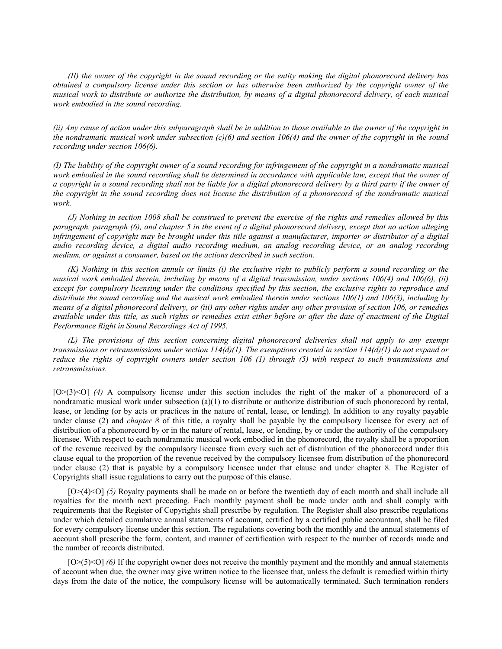*(II) the owner of the copyright in the sound recording or the entity making the digital phonorecord delivery has obtained a compulsory license under this section or has otherwise been authorized by the copyright owner of the musical work to distribute or authorize the distribution, by means of a digital phonorecord delivery, of each musical work embodied in the sound recording.*

*(ii) Any cause of action under this subparagraph shall be in addition to those available to the owner of the copyright in the nondramatic musical work under subsection (c)(6) and section 106(4) and the owner of the copyright in the sound recording under section 106(6).*

*(I) The liability of the copyright owner of a sound recording for infringement of the copyright in a nondramatic musical*  work embodied in the sound recording shall be determined in accordance with applicable law, except that the owner of *a copyright in a sound recording shall not be liable for a digital phonorecord delivery by a third party if the owner of the copyright in the sound recording does not license the distribution of a phonorecord of the nondramatic musical work.*

*(J) Nothing in section 1008 shall be construed to prevent the exercise of the rights and remedies allowed by this paragraph, paragraph (6), and chapter 5 in the event of a digital phonorecord delivery, except that no action alleging infringement of copyright may be brought under this title against a manufacturer, importer or distributor of a digital audio recording device, a digital audio recording medium, an analog recording device, or an analog recording medium, or against a consumer, based on the actions described in such section.*

*(K) Nothing in this section annuls or limits (i) the exclusive right to publicly perform a sound recording or the musical work embodied therein, including by means of a digital transmission, under sections 106(4) and 106(6), (ii) except for compulsory licensing under the conditions specified by this section, the exclusive rights to reproduce and distribute the sound recording and the musical work embodied therein under sections 106(1) and 106(3), including by means of a digital phonorecord delivery, or (iii) any other rights under any other provision of section 106, or remedies available under this title, as such rights or remedies exist either before or after the date of enactment of the Digital Performance Right in Sound Recordings Act of 1995.*

*(L) The provisions of this section concerning digital phonorecord deliveries shall not apply to any exempt transmissions or retransmissions under section 114(d)(1). The exemptions created in section 114(d)(1) do not expand or reduce the rights of copyright owners under section 106 (1) through (5) with respect to such transmissions and retransmissions.*

[O>(3)<O] (4) A compulsory license under this section includes the right of the maker of a phonorecord of a nondramatic musical work under subsection  $(a)(1)$  to distribute or authorize distribution of such phonorecord by rental, lease, or lending (or by acts or practices in the nature of rental, lease, or lending). In addition to any royalty payable under clause (2) and *chapter 8* of this title, a royalty shall be payable by the compulsory licensee for every act of distribution of a phonorecord by or in the nature of rental, lease, or lending, by or under the authority of the compulsory licensee. With respect to each nondramatic musical work embodied in the phonorecord, the royalty shall be a proportion of the revenue received by the compulsory licensee from every such act of distribution of the phonorecord under this clause equal to the proportion of the revenue received by the compulsory licensee from distribution of the phonorecord under clause (2) that is payable by a compulsory licensee under that clause and under chapter 8. The Register of Copyrights shall issue regulations to carry out the purpose of this clause.

[O>(4)<O] *(5)* Royalty payments shall be made on or before the twentieth day of each month and shall include all royalties for the month next preceding. Each monthly payment shall be made under oath and shall comply with requirements that the Register of Copyrights shall prescribe by regulation. The Register shall also prescribe regulations under which detailed cumulative annual statements of account, certified by a certified public accountant, shall be filed for every compulsory license under this section. The regulations covering both the monthly and the annual statements of account shall prescribe the form, content, and manner of certification with respect to the number of records made and the number of records distributed.

 $[O>(5)$  (6) If the copyright owner does not receive the monthly payment and the monthly and annual statements of account when due, the owner may give written notice to the licensee that, unless the default is remedied within thirty days from the date of the notice, the compulsory license will be automatically terminated. Such termination renders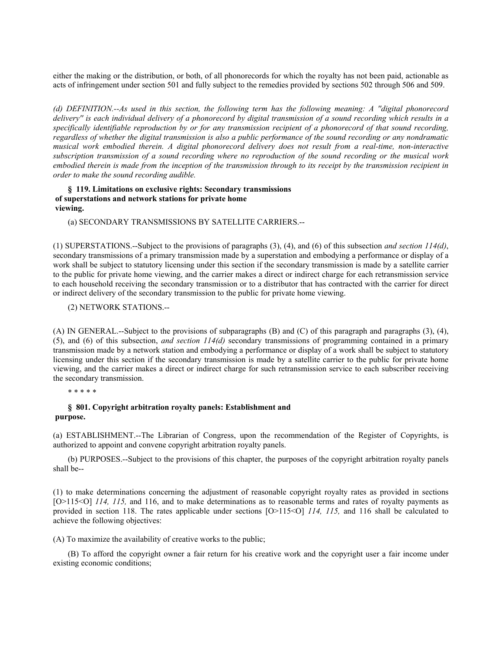either the making or the distribution, or both, of all phonorecords for which the royalty has not been paid, actionable as acts of infringement under section 501 and fully subject to the remedies provided by sections 502 through 506 and 509.

*(d) DEFINITION.--As used in this section, the following term has the following meaning: A ''digital phonorecord delivery'' is each individual delivery of a phonorecord by digital transmission of a sound recording which results in a specifically identifiable reproduction by or for any transmission recipient of a phonorecord of that sound recording, regardless of whether the digital transmission is also a public performance of the sound recording or any nondramatic musical work embodied therein. A digital phonorecord delivery does not result from a real-time, non-interactive subscription transmission of a sound recording where no reproduction of the sound recording or the musical work embodied therein is made from the inception of the transmission through to its receipt by the transmission recipient in order to make the sound recording audible.*

# **§ 119. Limitations on exclusive rights: Secondary transmissions of superstations and network stations for private home viewing.**

(a) SECONDARY TRANSMISSIONS BY SATELLITE CARRIERS.--

(1) SUPERSTATIONS.--Subject to the provisions of paragraphs (3), (4), and (6) of this subsection *and section 114(d)*, secondary transmissions of a primary transmission made by a superstation and embodying a performance or display of a work shall be subject to statutory licensing under this section if the secondary transmission is made by a satellite carrier to the public for private home viewing, and the carrier makes a direct or indirect charge for each retransmission service to each household receiving the secondary transmission or to a distributor that has contracted with the carrier for direct or indirect delivery of the secondary transmission to the public for private home viewing.

# (2) NETWORK STATIONS.--

(A) IN GENERAL.--Subject to the provisions of subparagraphs (B) and (C) of this paragraph and paragraphs (3), (4), (5), and (6) of this subsection, *and section 114(d)* secondary transmissions of programming contained in a primary transmission made by a network station and embodying a performance or display of a work shall be subject to statutory licensing under this section if the secondary transmission is made by a satellite carrier to the public for private home viewing, and the carrier makes a direct or indirect charge for such retransmission service to each subscriber receiving the secondary transmission.

\* \* \* \* \*

# **§ 801. Copyright arbitration royalty panels: Establishment and purpose.**

(a) ESTABLISHMENT.--The Librarian of Congress, upon the recommendation of the Register of Copyrights, is authorized to appoint and convene copyright arbitration royalty panels.

(b) PURPOSES.--Subject to the provisions of this chapter, the purposes of the copyright arbitration royalty panels shall be--

(1) to make determinations concerning the adjustment of reasonable copyright royalty rates as provided in sections [O>115<O] *114, 115*, and 116, and to make determinations as to reasonable terms and rates of royalty payments as provided in section 118. The rates applicable under sections [O>115<O] *114, 115,* and 116 shall be calculated to achieve the following objectives:

(A) To maximize the availability of creative works to the public;

(B) To afford the copyright owner a fair return for his creative work and the copyright user a fair income under existing economic conditions;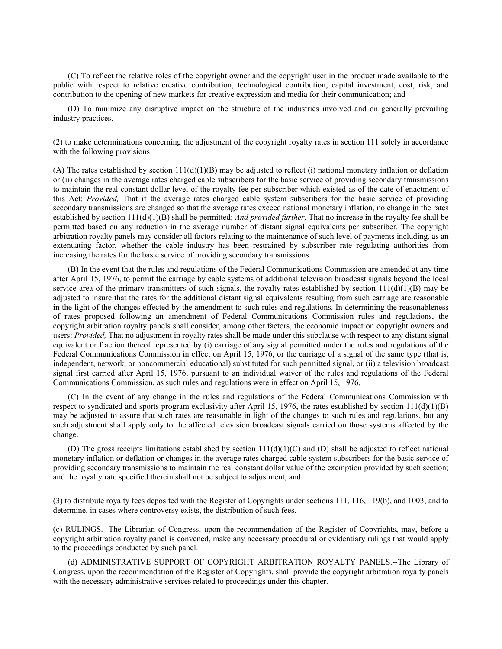(C) To reflect the relative roles of the copyright owner and the copyright user in the product made available to the public with respect to relative creative contribution, technological contribution, capital investment, cost, risk, and contribution to the opening of new markets for creative expression and media for their communication; and

(D) To minimize any disruptive impact on the structure of the industries involved and on generally prevailing industry practices.

(2) to make determinations concerning the adjustment of the copyright royalty rates in section 111 solely in accordance with the following provisions:

(A) The rates established by section  $111(d)(1)(B)$  may be adjusted to reflect (i) national monetary inflation or deflation or (ii) changes in the average rates charged cable subscribers for the basic service of providing secondary transmissions to maintain the real constant dollar level of the royalty fee per subscriber which existed as of the date of enactment of this Act: *Provided,* That if the average rates charged cable system subscribers for the basic service of providing secondary transmissions are changed so that the average rates exceed national monetary inflation, no change in the rates established by section 111(d)(1)(B) shall be permitted: *And provided further,* That no increase in the royalty fee shall be permitted based on any reduction in the average number of distant signal equivalents per subscriber. The copyright arbitration royalty panels may consider all factors relating to the maintenance of such level of payments including, as an extenuating factor, whether the cable industry has been restrained by subscriber rate regulating authorities from increasing the rates for the basic service of providing secondary transmissions.

(B) In the event that the rules and regulations of the Federal Communications Commission are amended at any time after April 15, 1976, to permit the carriage by cable systems of additional television broadcast signals beyond the local service area of the primary transmitters of such signals, the royalty rates established by section  $111(d)(1)(B)$  may be adjusted to insure that the rates for the additional distant signal equivalents resulting from such carriage are reasonable in the light of the changes effected by the amendment to such rules and regulations. In determining the reasonableness of rates proposed following an amendment of Federal Communications Commission rules and regulations, the copyright arbitration royalty panels shall consider, among other factors, the economic impact on copyright owners and users: *Provided,* That no adjustment in royalty rates shall be made under this subclause with respect to any distant signal equivalent or fraction thereof represented by (i) carriage of any signal permitted under the rules and regulations of the Federal Communications Commission in effect on April 15, 1976, or the carriage of a signal of the same type (that is, independent, network, or noncommercial educational) substituted for such permitted signal, or (ii) a television broadcast signal first carried after April 15, 1976, pursuant to an individual waiver of the rules and regulations of the Federal Communications Commission, as such rules and regulations were in effect on April 15, 1976.

(C) In the event of any change in the rules and regulations of the Federal Communications Commission with respect to syndicated and sports program exclusivity after April 15, 1976, the rates established by section  $111(d)(1)(B)$ may be adjusted to assure that such rates are reasonable in light of the changes to such rules and regulations, but any such adjustment shall apply only to the affected television broadcast signals carried on those systems affected by the change.

(D) The gross receipts limitations established by section  $111(d)(1)(C)$  and (D) shall be adjusted to reflect national monetary inflation or deflation or changes in the average rates charged cable system subscribers for the basic service of providing secondary transmissions to maintain the real constant dollar value of the exemption provided by such section; and the royalty rate specified therein shall not be subject to adjustment; and

(3) to distribute royalty fees deposited with the Register of Copyrights under sections 111, 116, 119(b), and 1003, and to determine, in cases where controversy exists, the distribution of such fees.

(c) RULINGS.--The Librarian of Congress, upon the recommendation of the Register of Copyrights, may, before a copyright arbitration royalty panel is convened, make any necessary procedural or evidentiary rulings that would apply to the proceedings conducted by such panel.

(d) ADMINISTRATIVE SUPPORT OF COPYRIGHT ARBITRATION ROYALTY PANELS.--The Library of Congress, upon the recommendation of the Register of Copyrights, shall provide the copyright arbitration royalty panels with the necessary administrative services related to proceedings under this chapter.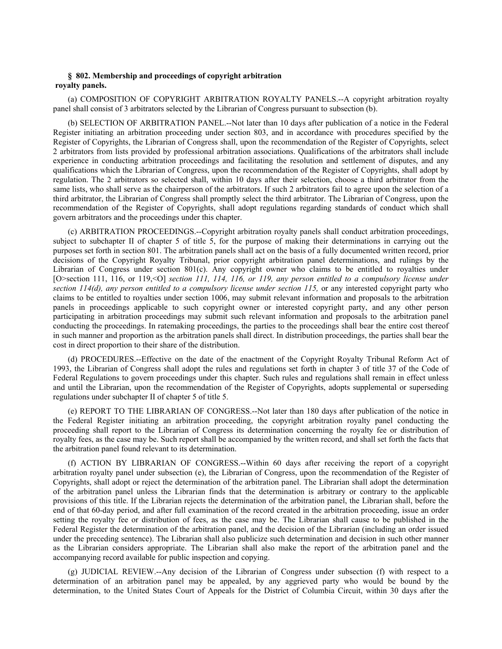# **§ 802. Membership and proceedings of copyright arbitration royalty panels.**

(a) COMPOSITION OF COPYRIGHT ARBITRATION ROYALTY PANELS.--A copyright arbitration royalty panel shall consist of 3 arbitrators selected by the Librarian of Congress pursuant to subsection (b).

(b) SELECTION OF ARBITRATION PANEL.--Not later than 10 days after publication of a notice in the Federal Register initiating an arbitration proceeding under section 803, and in accordance with procedures specified by the Register of Copyrights, the Librarian of Congress shall, upon the recommendation of the Register of Copyrights, select 2 arbitrators from lists provided by professional arbitration associations. Qualifications of the arbitrators shall include experience in conducting arbitration proceedings and facilitating the resolution and settlement of disputes, and any qualifications which the Librarian of Congress, upon the recommendation of the Register of Copyrights, shall adopt by regulation. The 2 arbitrators so selected shall, within 10 days after their selection, choose a third arbitrator from the same lists, who shall serve as the chairperson of the arbitrators. If such 2 arbitrators fail to agree upon the selection of a third arbitrator, the Librarian of Congress shall promptly select the third arbitrator. The Librarian of Congress, upon the recommendation of the Register of Copyrights, shall adopt regulations regarding standards of conduct which shall govern arbitrators and the proceedings under this chapter.

(c) ARBITRATION PROCEEDINGS.--Copyright arbitration royalty panels shall conduct arbitration proceedings, subject to subchapter II of chapter 5 of title 5, for the purpose of making their determinations in carrying out the purposes set forth in section 801. The arbitration panels shall act on the basis of a fully documented written record, prior decisions of the Copyright Royalty Tribunal, prior copyright arbitration panel determinations, and rulings by the Librarian of Congress under section 801(c). Any copyright owner who claims to be entitled to royalties under [O>section 111, 116, or 119,<0] *section 111, 114, 116, or 119, any person entitled to a compulsory license under section 114(d), any person entitled to a compulsory license under section 115,* or any interested copyright party who claims to be entitled to royalties under section 1006, may submit relevant information and proposals to the arbitration panels in proceedings applicable to such copyright owner or interested copyright party, and any other person participating in arbitration proceedings may submit such relevant information and proposals to the arbitration panel conducting the proceedings. In ratemaking proceedings, the parties to the proceedings shall bear the entire cost thereof in such manner and proportion as the arbitration panels shall direct. In distribution proceedings, the parties shall bear the cost in direct proportion to their share of the distribution.

(d) PROCEDURES.--Effective on the date of the enactment of the Copyright Royalty Tribunal Reform Act of 1993, the Librarian of Congress shall adopt the rules and regulations set forth in chapter 3 of title 37 of the Code of Federal Regulations to govern proceedings under this chapter. Such rules and regulations shall remain in effect unless and until the Librarian, upon the recommendation of the Register of Copyrights, adopts supplemental or superseding regulations under subchapter II of chapter 5 of title 5.

(e) REPORT TO THE LIBRARIAN OF CONGRESS.--Not later than 180 days after publication of the notice in the Federal Register initiating an arbitration proceeding, the copyright arbitration royalty panel conducting the proceeding shall report to the Librarian of Congress its determination concerning the royalty fee or distribution of royalty fees, as the case may be. Such report shall be accompanied by the written record, and shall set forth the facts that the arbitration panel found relevant to its determination.

(f) ACTION BY LIBRARIAN OF CONGRESS.--Within 60 days after receiving the report of a copyright arbitration royalty panel under subsection (e), the Librarian of Congress, upon the recommendation of the Register of Copyrights, shall adopt or reject the determination of the arbitration panel. The Librarian shall adopt the determination of the arbitration panel unless the Librarian finds that the determination is arbitrary or contrary to the applicable provisions of this title. If the Librarian rejects the determination of the arbitration panel, the Librarian shall, before the end of that 60-day period, and after full examination of the record created in the arbitration proceeding, issue an order setting the royalty fee or distribution of fees, as the case may be. The Librarian shall cause to be published in the Federal Register the determination of the arbitration panel, and the decision of the Librarian (including an order issued under the preceding sentence). The Librarian shall also publicize such determination and decision in such other manner as the Librarian considers appropriate. The Librarian shall also make the report of the arbitration panel and the accompanying record available for public inspection and copying.

(g) JUDICIAL REVIEW.--Any decision of the Librarian of Congress under subsection (f) with respect to a determination of an arbitration panel may be appealed, by any aggrieved party who would be bound by the determination, to the United States Court of Appeals for the District of Columbia Circuit, within 30 days after the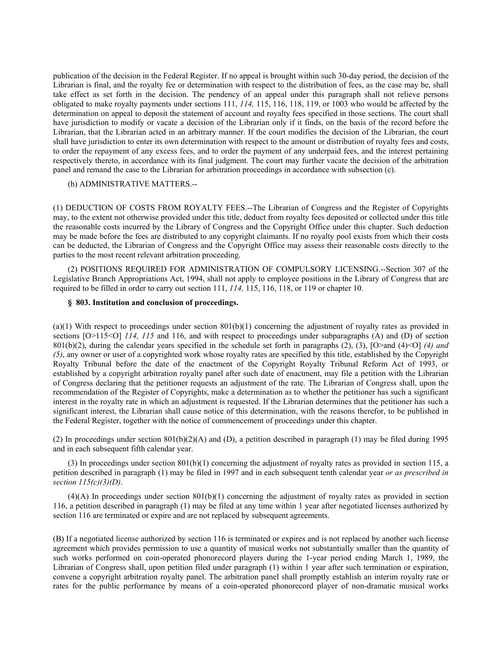publication of the decision in the Federal Register. If no appeal is brought within such 30-day period, the decision of the Librarian is final, and the royalty fee or determination with respect to the distribution of fees, as the case may be, shall take effect as set forth in the decision. The pendency of an appeal under this paragraph shall not relieve persons obligated to make royalty payments under sections 111, *114,* 115, 116, 118, 119, or 1003 who would be affected by the determination on appeal to deposit the statement of account and royalty fees specified in those sections. The court shall have jurisdiction to modify or vacate a decision of the Librarian only if it finds, on the basis of the record before the Librarian, that the Librarian acted in an arbitrary manner. If the court modifies the decision of the Librarian, the court shall have jurisdiction to enter its own determination with respect to the amount or distribution of royalty fees and costs, to order the repayment of any excess fees, and to order the payment of any underpaid fees, and the interest pertaining respectively thereto, in accordance with its final judgment. The court may further vacate the decision of the arbitration panel and remand the case to the Librarian for arbitration proceedings in accordance with subsection (c).

(h) ADMINISTRATIVE MATTERS.--

(1) DEDUCTION OF COSTS FROM ROYALTY FEES.--The Librarian of Congress and the Register of Copyrights may, to the extent not otherwise provided under this title, deduct from royalty fees deposited or collected under this title the reasonable costs incurred by the Library of Congress and the Copyright Office under this chapter. Such deduction may be made before the fees are distributed to any copyright claimants. If no royalty pool exists from which their costs can be deducted, the Librarian of Congress and the Copyright Office may assess their reasonable costs directly to the parties to the most recent relevant arbitration proceeding.

(2) POSITIONS REQUIRED FOR ADMINISTRATION OF COMPULSORY LICENSING.--Section 307 of the Legislative Branch Appropriations Act, 1994, shall not apply to employee positions in the Library of Congress that are required to be filled in order to carry out section 111, *114,* 115, 116, 118, or 119 or chapter 10.

# **§ 803. Institution and conclusion of proceedings.**

 $(a)(1)$  With respect to proceedings under section  $801(b)(1)$  concerning the adjustment of royalty rates as provided in sections  $[O>115<0]$  *114, 115* and 116, and with respect to proceedings under subparagraphs (A) and (D) of section 801(b)(2), during the calendar years specified in the schedule set forth in paragraphs (2), (3), [O>and (4)<O] *(4) and (5)*, any owner or user of a copyrighted work whose royalty rates are specified by this title, established by the Copyright Royalty Tribunal before the date of the enactment of the Copyright Royalty Tribunal Reform Act of 1993, or established by a copyright arbitration royalty panel after such date of enactment, may file a petition with the Librarian of Congress declaring that the petitioner requests an adjustment of the rate. The Librarian of Congress shall, upon the recommendation of the Register of Copyrights, make a determination as to whether the petitioner has such a significant interest in the royalty rate in which an adjustment is requested. If the Librarian determines that the petitioner has such a significant interest, the Librarian shall cause notice of this determination, with the reasons therefor, to be published in the Federal Register, together with the notice of commencement of proceedings under this chapter.

(2) In proceedings under section  $801(b)(2)(A)$  and (D), a petition described in paragraph (1) may be filed during 1995 and in each subsequent fifth calendar year.

(3) In proceedings under section 801(b)(1) concerning the adjustment of royalty rates as provided in section 115, a petition described in paragraph (1) may be filed in 1997 and in each subsequent tenth calendar year *or as prescribed in section 115(c)(3)(D)*.

 $(4)(A)$  In proceedings under section  $801(b)(1)$  concerning the adjustment of royalty rates as provided in section 116, a petition described in paragraph (1) may be filed at any time within 1 year after negotiated licenses authorized by section 116 are terminated or expire and are not replaced by subsequent agreements.

(B) If a negotiated license authorized by section 116 is terminated or expires and is not replaced by another such license agreement which provides permission to use a quantity of musical works not substantially smaller than the quantity of such works performed on coin-operated phonorecord players during the 1-year period ending March 1, 1989, the Librarian of Congress shall, upon petition filed under paragraph (1) within 1 year after such termination or expiration, convene a copyright arbitration royalty panel. The arbitration panel shall promptly establish an interim royalty rate or rates for the public performance by means of a coin-operated phonorecord player of non-dramatic musical works